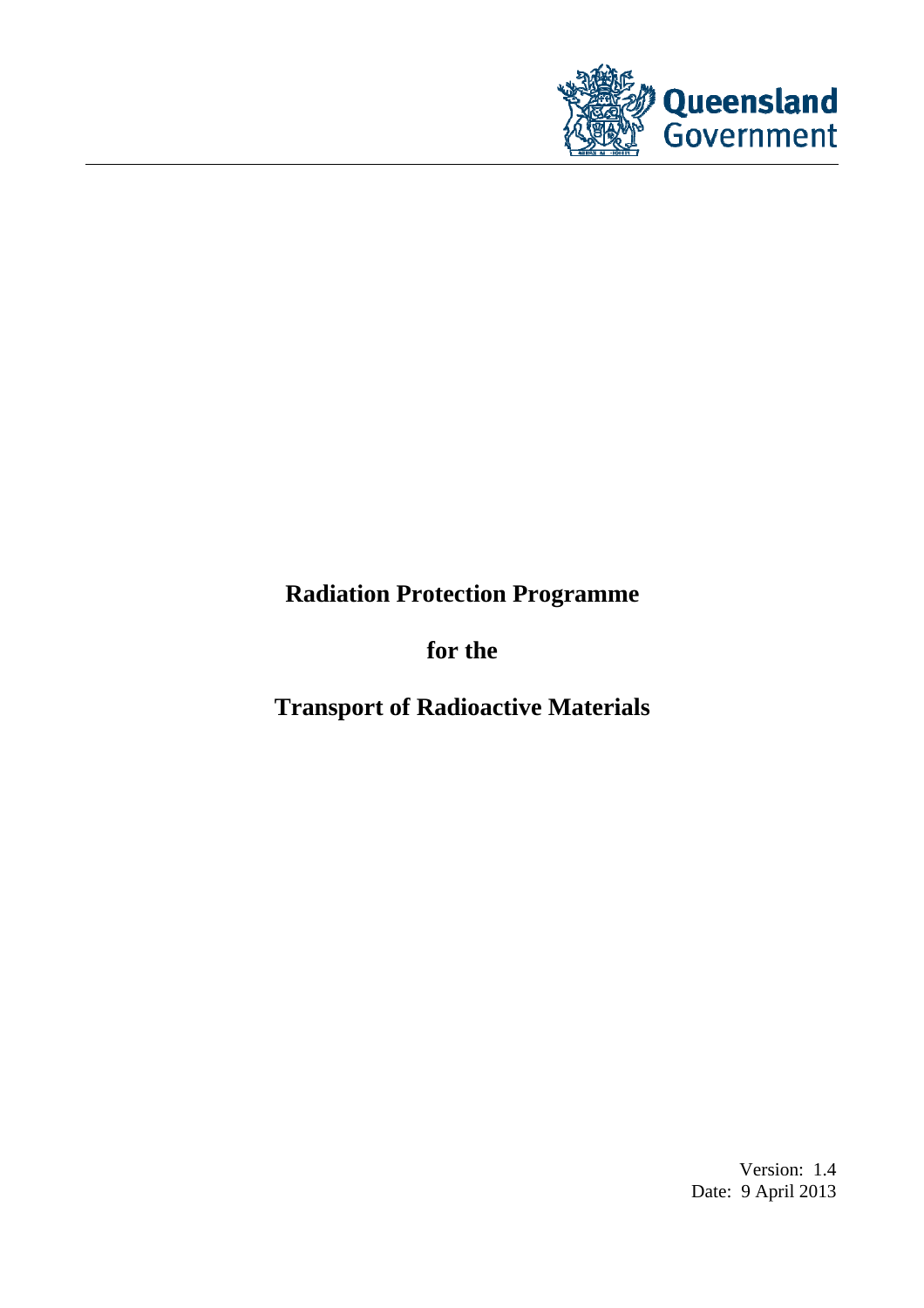

# **Radiation Protection Programme**

**for the** 

**Transport of Radioactive Materials** 

Version: 1.4 Date: 9 April 2013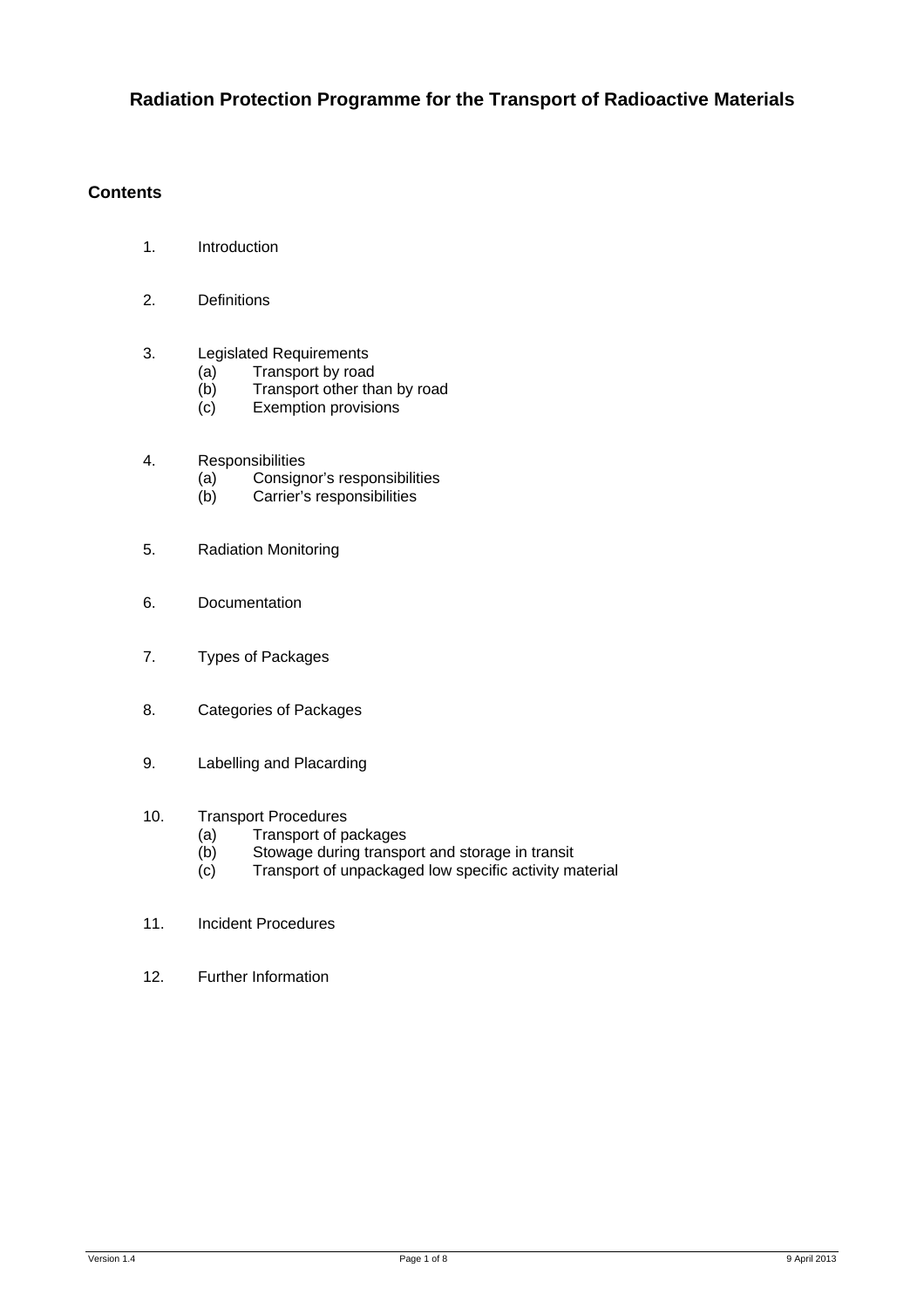# **Radiation Protection Programme for the Transport of Radioactive Materials**

# **Contents**

- 1. Introduction
- 2. Definitions
- 3. Legislated Requirements
	- (a) Transport by road<br>(b) Transport other the
	- $(b)$  Transport other than by road<br>(c) Exemption provisions
	- Exemption provisions
- 4. Responsibilities
	- (a) Consignor's responsibilities
	- (b) Carrier's responsibilities
- 5. Radiation Monitoring
- 6. Documentation
- 7. Types of Packages
- 8. Categories of Packages
- 9. Labelling and Placarding

# 10. Transport Procedures

- (a) Transport of packages<br>(b) Stowage during transpo
- Stowage during transport and storage in transit
- (c) Transport of unpackaged low specific activity material
- 11. Incident Procedures
- 12. Further Information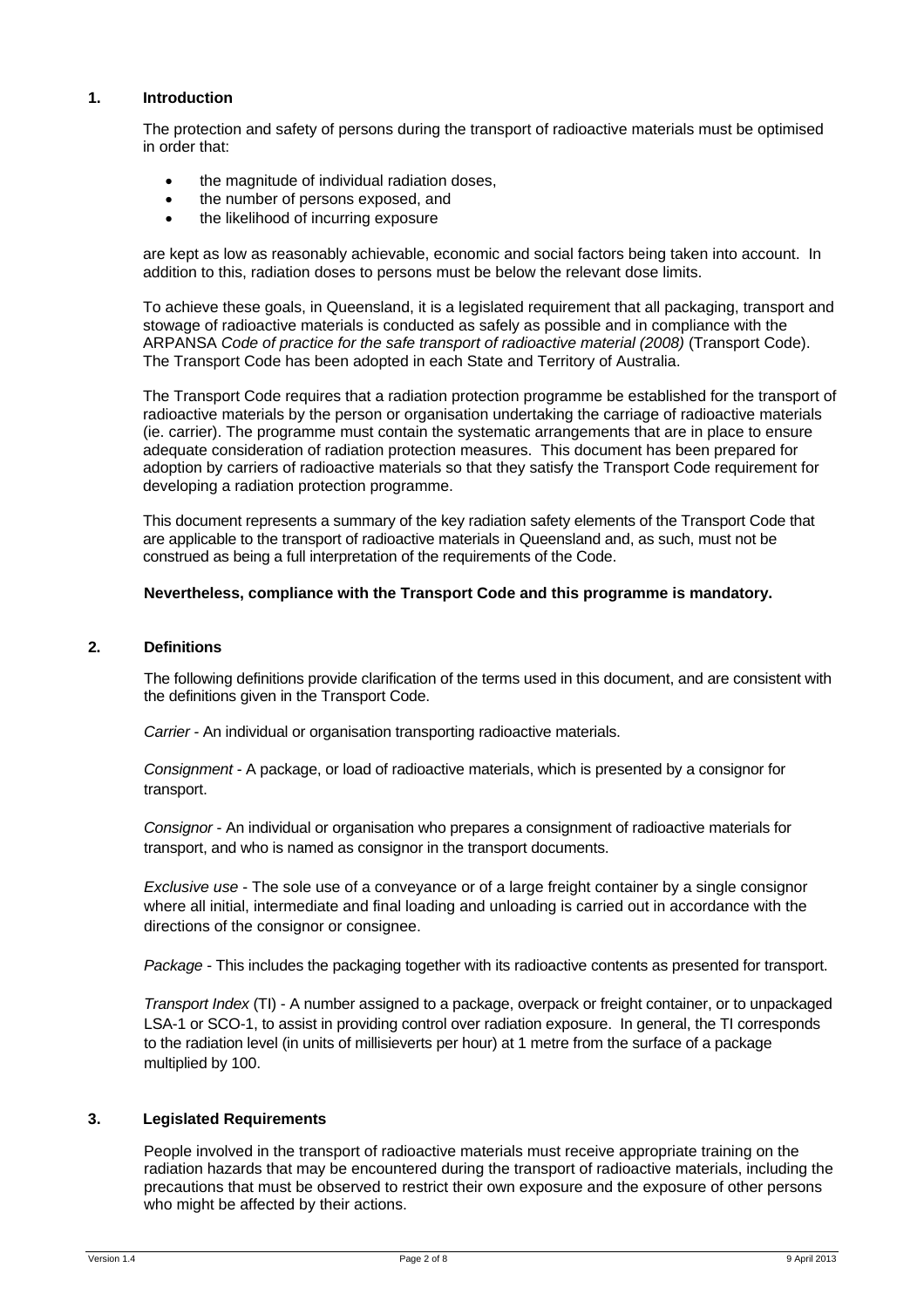#### **1. Introduction**

The protection and safety of persons during the transport of radioactive materials must be optimised in order that:

- the magnitude of individual radiation doses,
- the number of persons exposed, and
- the likelihood of incurring exposure

are kept as low as reasonably achievable, economic and social factors being taken into account. In addition to this, radiation doses to persons must be below the relevant dose limits.

To achieve these goals, in Queensland, it is a legislated requirement that all packaging, transport and stowage of radioactive materials is conducted as safely as possible and in compliance with the ARPANSA *Code of practice for the safe transport of radioactive material (2008)* (Transport Code). The Transport Code has been adopted in each State and Territory of Australia.

The Transport Code requires that a radiation protection programme be established for the transport of radioactive materials by the person or organisation undertaking the carriage of radioactive materials (ie. carrier). The programme must contain the systematic arrangements that are in place to ensure adequate consideration of radiation protection measures. This document has been prepared for adoption by carriers of radioactive materials so that they satisfy the Transport Code requirement for developing a radiation protection programme.

This document represents a summary of the key radiation safety elements of the Transport Code that are applicable to the transport of radioactive materials in Queensland and, as such, must not be construed as being a full interpretation of the requirements of the Code.

## **Nevertheless, compliance with the Transport Code and this programme is mandatory.**

#### **2. Definitions**

The following definitions provide clarification of the terms used in this document, and are consistent with the definitions given in the Transport Code.

*Carrier -* An individual or organisation transporting radioactive materials.

*Consignment* - A package, or load of radioactive materials, which is presented by a consignor for transport.

*Consignor* - An individual or organisation who prepares a consignment of radioactive materials for transport, and who is named as consignor in the transport documents.

*Exclusive use* - The sole use of a conveyance or of a large freight container by a single consignor where all initial, intermediate and final loading and unloading is carried out in accordance with the directions of the consignor or consignee.

*Package* - This includes the packaging together with its radioactive contents as presented for transport.

*Transport Index* (TI) - A number assigned to a package, overpack or freight container, or to unpackaged LSA-1 or SCO-1, to assist in providing control over radiation exposure. In general, the TI corresponds to the radiation level (in units of millisieverts per hour) at 1 metre from the surface of a package multiplied by 100.

## **3. Legislated Requirements**

People involved in the transport of radioactive materials must receive appropriate training on the radiation hazards that may be encountered during the transport of radioactive materials, including the precautions that must be observed to restrict their own exposure and the exposure of other persons who might be affected by their actions.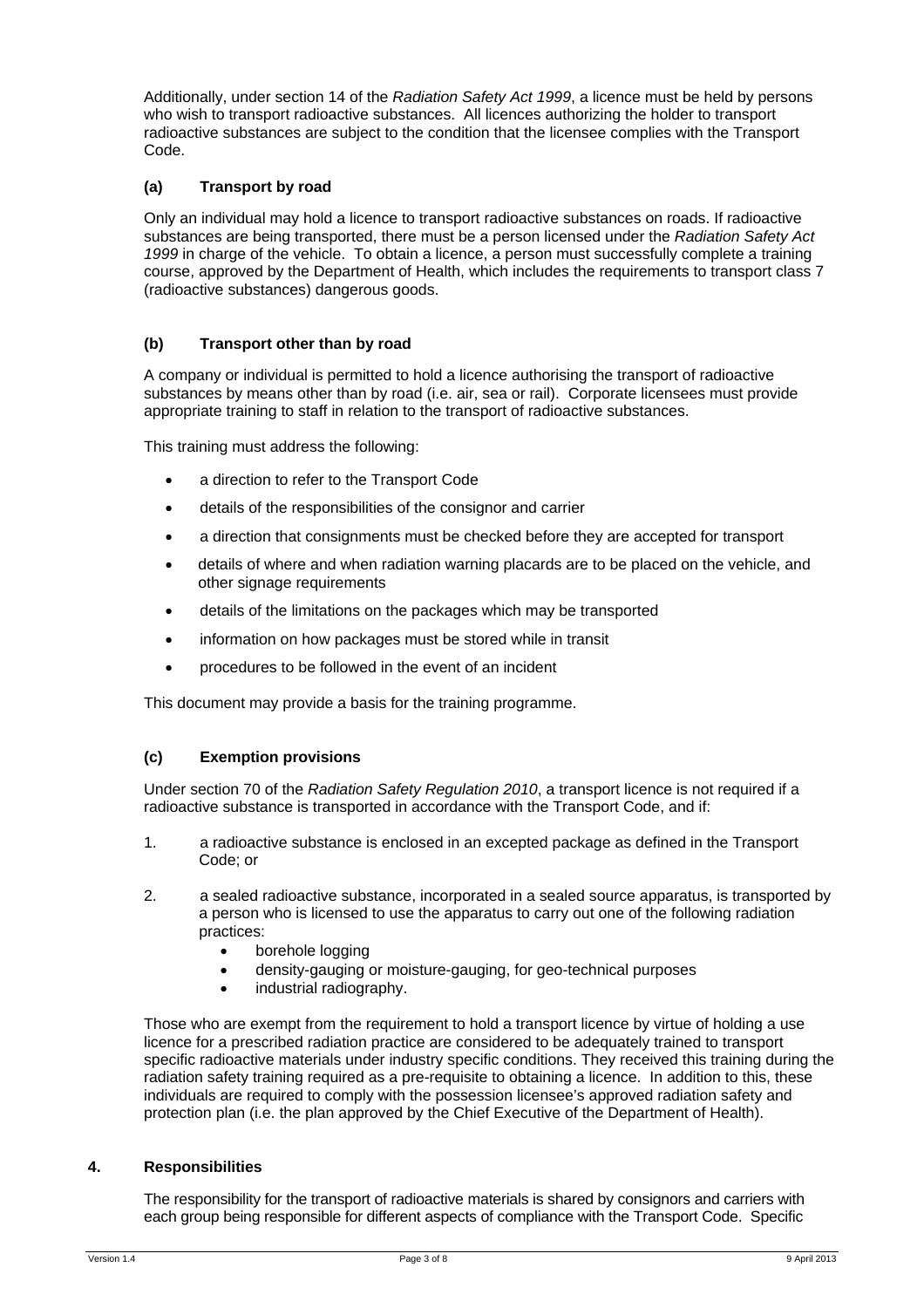Additionally, under section 14 of the *Radiation Safety Act 1999*, a licence must be held by persons who wish to transport radioactive substances. All licences authorizing the holder to transport radioactive substances are subject to the condition that the licensee complies with the Transport Code.

# **(a) Transport by road**

Only an individual may hold a licence to transport radioactive substances on roads. If radioactive substances are being transported, there must be a person licensed under the *Radiation Safety Act 1999* in charge of the vehicle. To obtain a licence, a person must successfully complete a training course, approved by the Department of Health, which includes the requirements to transport class 7 (radioactive substances) dangerous goods.

## **(b) Transport other than by road**

A company or individual is permitted to hold a licence authorising the transport of radioactive substances by means other than by road (i.e. air, sea or rail). Corporate licensees must provide appropriate training to staff in relation to the transport of radioactive substances.

This training must address the following:

- a direction to refer to the Transport Code
- details of the responsibilities of the consignor and carrier
- a direction that consignments must be checked before they are accepted for transport
- details of where and when radiation warning placards are to be placed on the vehicle, and other signage requirements
- details of the limitations on the packages which may be transported
- information on how packages must be stored while in transit
- procedures to be followed in the event of an incident

This document may provide a basis for the training programme.

#### **(c) Exemption provisions**

Under section 70 of the *Radiation Safety Regulation 2010*, a transport licence is not required if a radioactive substance is transported in accordance with the Transport Code, and if:

- 1. a radioactive substance is enclosed in an excepted package as defined in the Transport Code; or
- 2. a sealed radioactive substance, incorporated in a sealed source apparatus, is transported by a person who is licensed to use the apparatus to carry out one of the following radiation practices:
	- borehole logging
	- density-gauging or moisture-gauging, for geo-technical purposes
	- industrial radiography.

Those who are exempt from the requirement to hold a transport licence by virtue of holding a use licence for a prescribed radiation practice are considered to be adequately trained to transport specific radioactive materials under industry specific conditions. They received this training during the radiation safety training required as a pre-requisite to obtaining a licence. In addition to this, these individuals are required to comply with the possession licensee's approved radiation safety and protection plan (i.e. the plan approved by the Chief Executive of the Department of Health).

#### **4. Responsibilities**

The responsibility for the transport of radioactive materials is shared by consignors and carriers with each group being responsible for different aspects of compliance with the Transport Code. Specific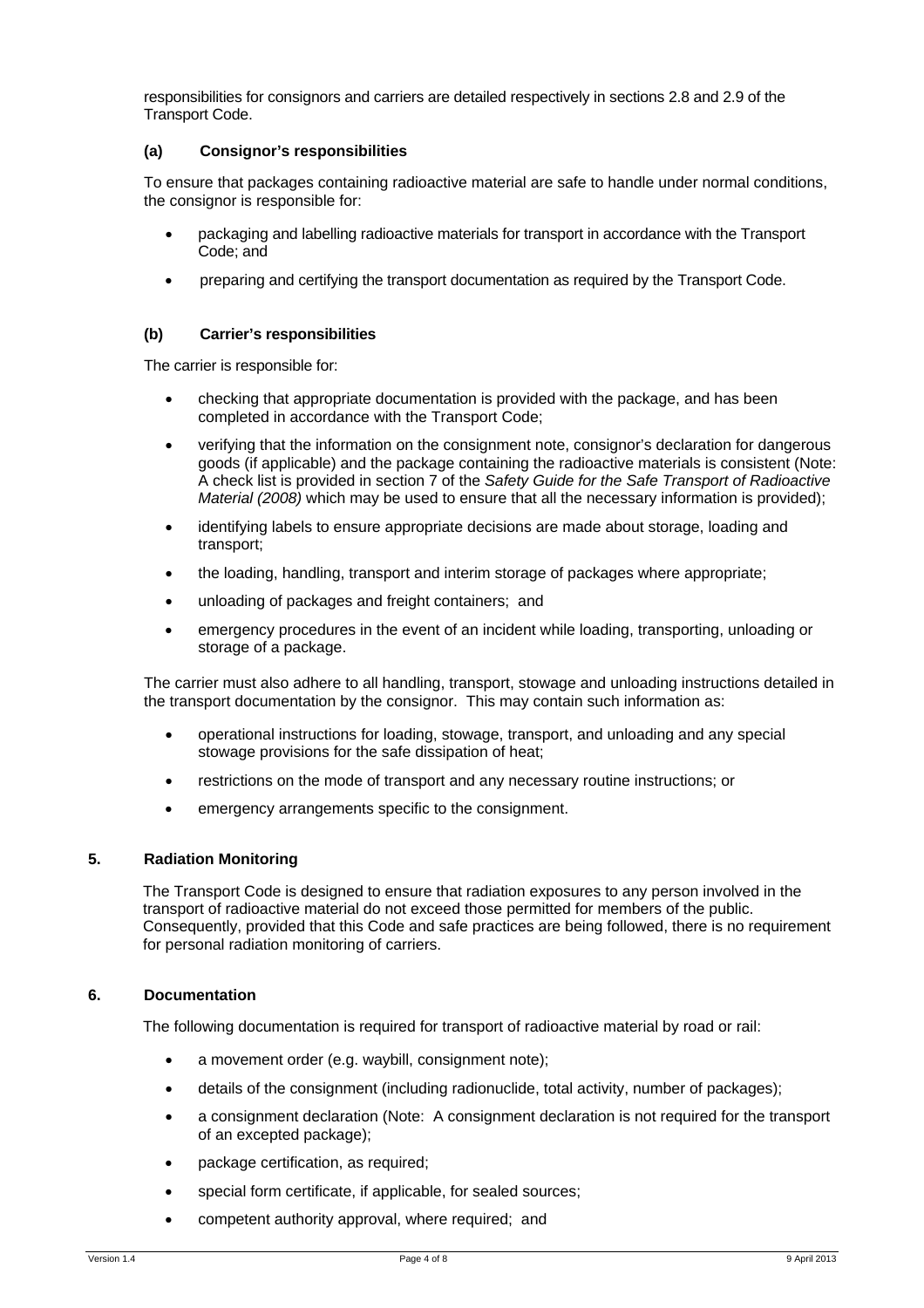responsibilities for consignors and carriers are detailed respectively in sections 2.8 and 2.9 of the Transport Code.

#### **(a) Consignor's responsibilities**

To ensure that packages containing radioactive material are safe to handle under normal conditions, the consignor is responsible for:

- packaging and labelling radioactive materials for transport in accordance with the Transport Code; and
- preparing and certifying the transport documentation as required by the Transport Code.

## **(b) Carrier's responsibilities**

The carrier is responsible for:

- checking that appropriate documentation is provided with the package, and has been completed in accordance with the Transport Code;
- verifying that the information on the consignment note, consignor's declaration for dangerous goods (if applicable) and the package containing the radioactive materials is consistent (Note: A check list is provided in section 7 of the *Safety Guide for the Safe Transport of Radioactive Material (2008)* which may be used to ensure that all the necessary information is provided);
- identifying labels to ensure appropriate decisions are made about storage, loading and transport;
- the loading, handling, transport and interim storage of packages where appropriate;
- unloading of packages and freight containers; and
- emergency procedures in the event of an incident while loading, transporting, unloading or storage of a package.

The carrier must also adhere to all handling, transport, stowage and unloading instructions detailed in the transport documentation by the consignor. This may contain such information as:

- operational instructions for loading, stowage, transport, and unloading and any special stowage provisions for the safe dissipation of heat;
- restrictions on the mode of transport and any necessary routine instructions; or
- emergency arrangements specific to the consignment.

#### **5. Radiation Monitoring**

The Transport Code is designed to ensure that radiation exposures to any person involved in the transport of radioactive material do not exceed those permitted for members of the public. Consequently, provided that this Code and safe practices are being followed, there is no requirement for personal radiation monitoring of carriers.

## **6. Documentation**

The following documentation is required for transport of radioactive material by road or rail:

- a movement order (e.g. waybill, consignment note);
- details of the consignment (including radionuclide, total activity, number of packages);
- a consignment declaration (Note: A consignment declaration is not required for the transport of an excepted package);
- package certification, as required;
- special form certificate, if applicable, for sealed sources;
- competent authority approval, where required; and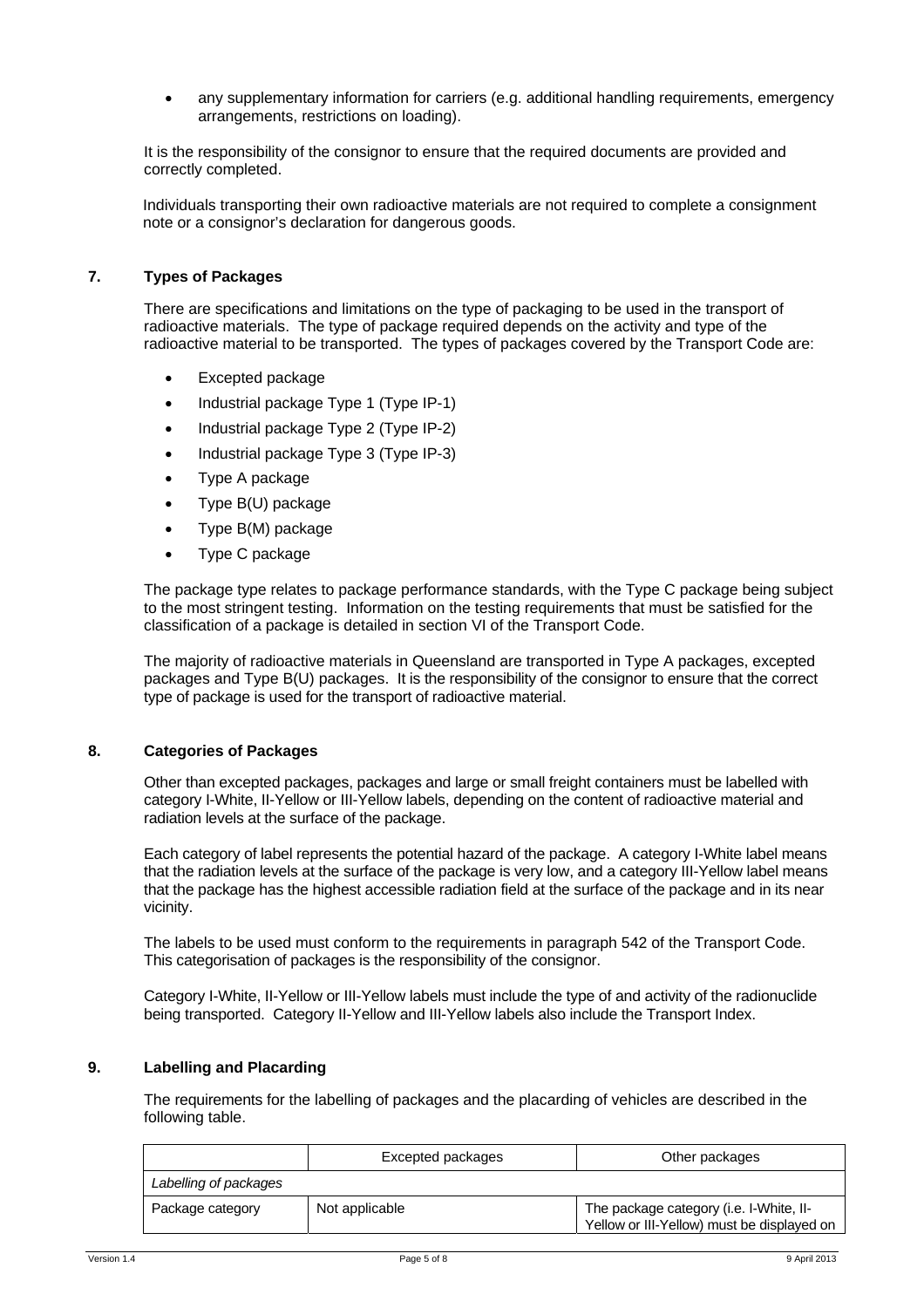any supplementary information for carriers (e.g. additional handling requirements, emergency arrangements, restrictions on loading).

It is the responsibility of the consignor to ensure that the required documents are provided and correctly completed.

Individuals transporting their own radioactive materials are not required to complete a consignment note or a consignor's declaration for dangerous goods.

#### **7. Types of Packages**

There are specifications and limitations on the type of packaging to be used in the transport of radioactive materials. The type of package required depends on the activity and type of the radioactive material to be transported. The types of packages covered by the Transport Code are:

- Excepted package
- Industrial package Type 1 (Type IP-1)
- Industrial package Type 2 (Type IP-2)
- Industrial package Type 3 (Type IP-3)
- Type A package
- Type B(U) package
- Type B(M) package
- Type C package

The package type relates to package performance standards, with the Type C package being subject to the most stringent testing. Information on the testing requirements that must be satisfied for the classification of a package is detailed in section VI of the Transport Code.

The majority of radioactive materials in Queensland are transported in Type A packages, excepted packages and Type B(U) packages. It is the responsibility of the consignor to ensure that the correct type of package is used for the transport of radioactive material.

#### **8. Categories of Packages**

Other than excepted packages, packages and large or small freight containers must be labelled with category I-White, II-Yellow or III-Yellow labels, depending on the content of radioactive material and radiation levels at the surface of the package.

Each category of label represents the potential hazard of the package. A category I-White label means that the radiation levels at the surface of the package is very low, and a category III-Yellow label means that the package has the highest accessible radiation field at the surface of the package and in its near vicinity.

The labels to be used must conform to the requirements in paragraph 542 of the Transport Code. This categorisation of packages is the responsibility of the consignor.

Category I-White, II-Yellow or III-Yellow labels must include the type of and activity of the radionuclide being transported. Category II-Yellow and III-Yellow labels also include the Transport Index.

#### **9. Labelling and Placarding**

The requirements for the labelling of packages and the placarding of vehicles are described in the following table.

|                       | Excepted packages | Other packages                                                                        |
|-----------------------|-------------------|---------------------------------------------------------------------------------------|
| Labelling of packages |                   |                                                                                       |
| Package category      | Not applicable    | The package category (i.e. I-White, II-<br>Yellow or III-Yellow) must be displayed on |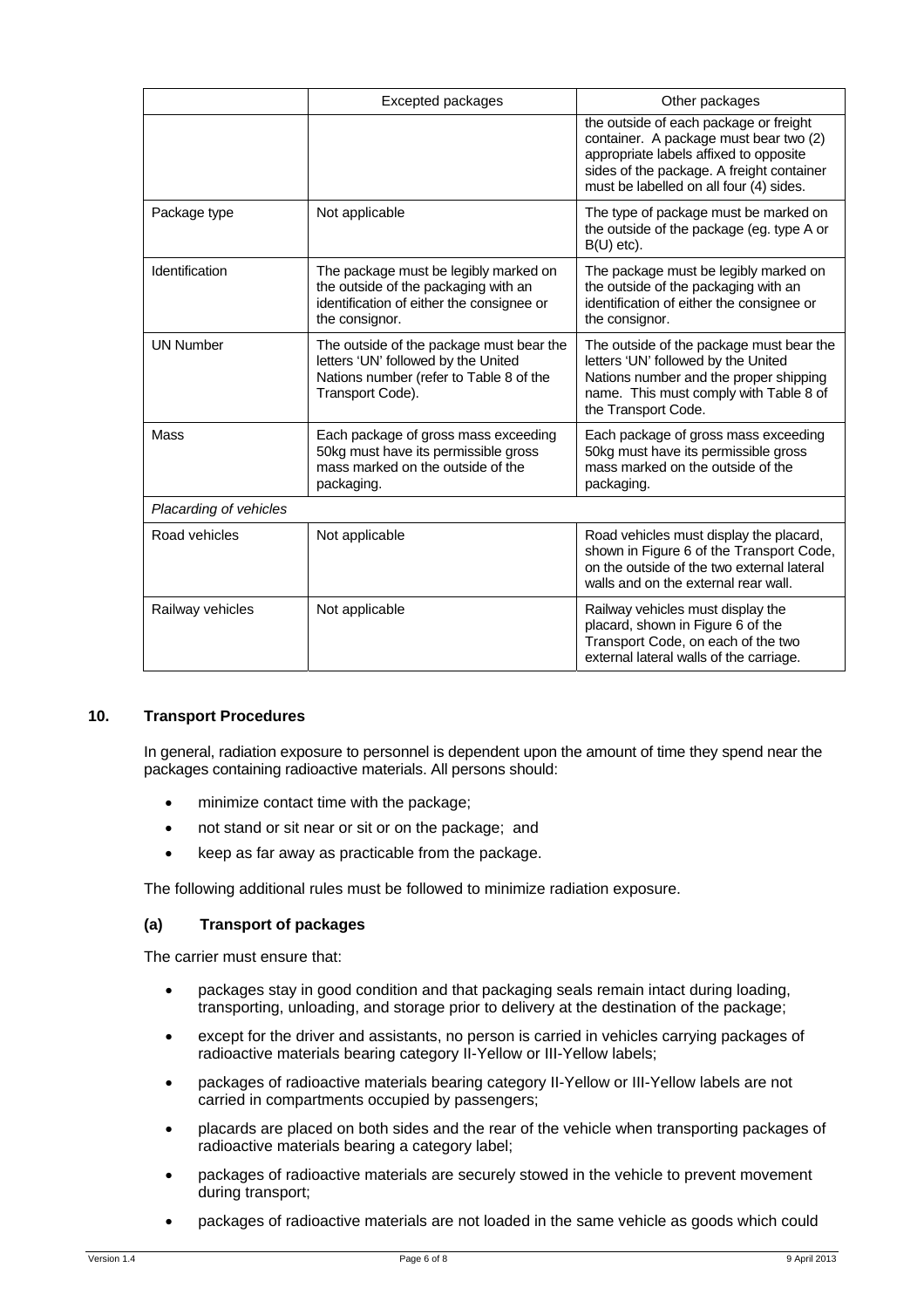|                        | <b>Excepted packages</b>                                                                                                                                                                                                                                                                     | Other packages                                                                                                                                                                                                     |  |  |
|------------------------|----------------------------------------------------------------------------------------------------------------------------------------------------------------------------------------------------------------------------------------------------------------------------------------------|--------------------------------------------------------------------------------------------------------------------------------------------------------------------------------------------------------------------|--|--|
|                        |                                                                                                                                                                                                                                                                                              | the outside of each package or freight<br>container. A package must bear two (2)<br>appropriate labels affixed to opposite<br>sides of the package. A freight container<br>must be labelled on all four (4) sides. |  |  |
| Package type           | Not applicable                                                                                                                                                                                                                                                                               | The type of package must be marked on<br>the outside of the package (eg. type A or<br>$B(U)$ etc).                                                                                                                 |  |  |
| Identification         | The package must be legibly marked on<br>The package must be legibly marked on<br>the outside of the packaging with an<br>the outside of the packaging with an<br>identification of either the consignee or<br>identification of either the consignee or<br>the consignor.<br>the consignor. |                                                                                                                                                                                                                    |  |  |
| <b>UN Number</b>       | The outside of the package must bear the<br>letters 'UN' followed by the United<br>Nations number (refer to Table 8 of the<br>Transport Code).                                                                                                                                               | The outside of the package must bear the<br>letters 'UN' followed by the United<br>Nations number and the proper shipping<br>name. This must comply with Table 8 of<br>the Transport Code.                         |  |  |
| Mass                   | Each package of gross mass exceeding<br>50kg must have its permissible gross<br>mass marked on the outside of the<br>packaging.                                                                                                                                                              | Each package of gross mass exceeding<br>50kg must have its permissible gross<br>mass marked on the outside of the<br>packaging.                                                                                    |  |  |
| Placarding of vehicles |                                                                                                                                                                                                                                                                                              |                                                                                                                                                                                                                    |  |  |
| Road vehicles          | Not applicable                                                                                                                                                                                                                                                                               | Road vehicles must display the placard,<br>shown in Figure 6 of the Transport Code,<br>on the outside of the two external lateral<br>walls and on the external rear wall.                                          |  |  |
| Railway vehicles       | Not applicable                                                                                                                                                                                                                                                                               | Railway vehicles must display the<br>placard, shown in Figure 6 of the<br>Transport Code, on each of the two<br>external lateral walls of the carriage.                                                            |  |  |

#### **10. Transport Procedures**

In general, radiation exposure to personnel is dependent upon the amount of time they spend near the packages containing radioactive materials. All persons should:

- minimize contact time with the package;
- not stand or sit near or sit or on the package; and
- keep as far away as practicable from the package.

The following additional rules must be followed to minimize radiation exposure.

#### **(a) Transport of packages**

The carrier must ensure that:

- packages stay in good condition and that packaging seals remain intact during loading, transporting, unloading, and storage prior to delivery at the destination of the package;
- except for the driver and assistants, no person is carried in vehicles carrying packages of radioactive materials bearing category II-Yellow or III-Yellow labels;
- packages of radioactive materials bearing category II-Yellow or III-Yellow labels are not carried in compartments occupied by passengers;
- placards are placed on both sides and the rear of the vehicle when transporting packages of radioactive materials bearing a category label;
- packages of radioactive materials are securely stowed in the vehicle to prevent movement during transport;
- packages of radioactive materials are not loaded in the same vehicle as goods which could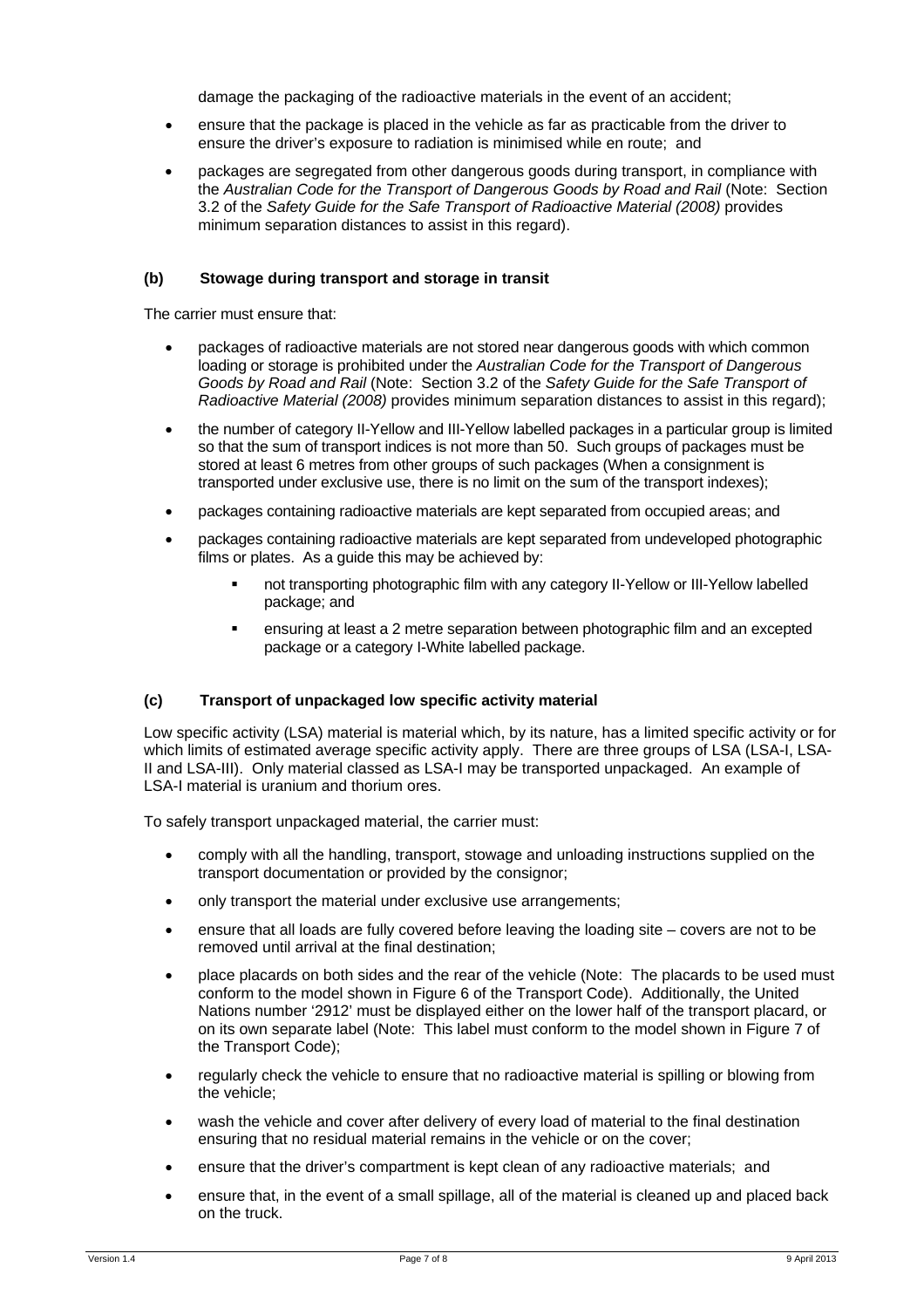damage the packaging of the radioactive materials in the event of an accident;

- ensure that the package is placed in the vehicle as far as practicable from the driver to ensure the driver's exposure to radiation is minimised while en route; and
- packages are segregated from other dangerous goods during transport, in compliance with the *Australian Code for the Transport of Dangerous Goods by Road and Rail* (Note: Section 3.2 of the *Safety Guide for the Safe Transport of Radioactive Material (2008)* provides minimum separation distances to assist in this regard).

#### **(b) Stowage during transport and storage in transit**

The carrier must ensure that:

- packages of radioactive materials are not stored near dangerous goods with which common loading or storage is prohibited under the *Australian Code for the Transport of Dangerous Goods by Road and Rail* (Note: Section 3.2 of the *Safety Guide for the Safe Transport of Radioactive Material (2008)* provides minimum separation distances to assist in this regard);
- the number of category II-Yellow and III-Yellow labelled packages in a particular group is limited so that the sum of transport indices is not more than 50. Such groups of packages must be stored at least 6 metres from other groups of such packages (When a consignment is transported under exclusive use, there is no limit on the sum of the transport indexes);
- packages containing radioactive materials are kept separated from occupied areas; and
- packages containing radioactive materials are kept separated from undeveloped photographic films or plates. As a guide this may be achieved by:
	- not transporting photographic film with any category II-Yellow or III-Yellow labelled package; and
	- ensuring at least a 2 metre separation between photographic film and an excepted package or a category I-White labelled package.

#### **(c) Transport of unpackaged low specific activity material**

Low specific activity (LSA) material is material which, by its nature, has a limited specific activity or for which limits of estimated average specific activity apply. There are three groups of LSA (LSA-I, LSA-II and LSA-III). Only material classed as LSA-I may be transported unpackaged. An example of LSA-I material is uranium and thorium ores.

To safely transport unpackaged material, the carrier must:

- comply with all the handling, transport, stowage and unloading instructions supplied on the transport documentation or provided by the consignor;
- only transport the material under exclusive use arrangements:
- ensure that all loads are fully covered before leaving the loading site covers are not to be removed until arrival at the final destination;
- place placards on both sides and the rear of the vehicle (Note: The placards to be used must conform to the model shown in Figure 6 of the Transport Code). Additionally, the United Nations number '2912' must be displayed either on the lower half of the transport placard, or on its own separate label (Note: This label must conform to the model shown in Figure 7 of the Transport Code);
- regularly check the vehicle to ensure that no radioactive material is spilling or blowing from the vehicle;
- wash the vehicle and cover after delivery of every load of material to the final destination ensuring that no residual material remains in the vehicle or on the cover;
- ensure that the driver's compartment is kept clean of any radioactive materials; and
- ensure that, in the event of a small spillage, all of the material is cleaned up and placed back on the truck.